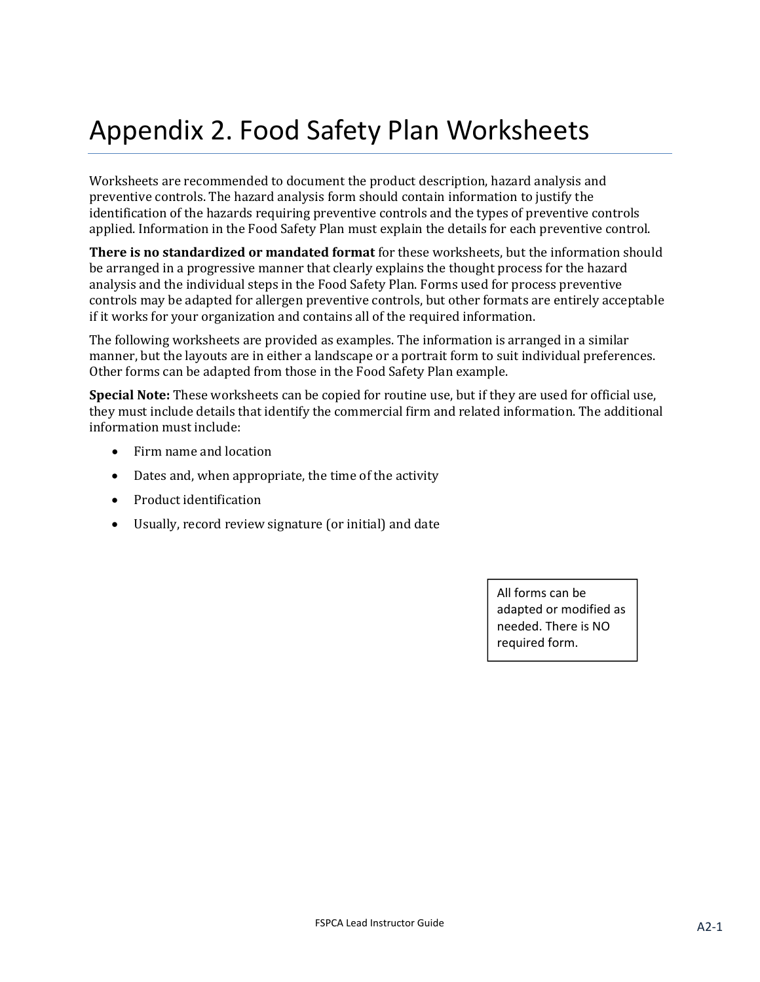# Appendix 2. Food Safety Plan Worksheets

Worksheets are recommended to document the product description, hazard analysis and preventive controls. The hazard analysis form should contain information to justify the identification of the hazards requiring preventive controls and the types of preventive controls applied. Information in the Food Safety Plan must explain the details for each preventive control.

**There is no standardized or mandated format** for these worksheets, but the information should be arranged in a progressive manner that clearly explains the thought process for the hazard analysis and the individual steps in the Food Safety Plan. Forms used for process preventive controls may be adapted for allergen preventive controls, but other formats are entirely acceptable if it works for your organization and contains all of the required information.

The following worksheets are provided as examples. The information is arranged in a similar manner, but the layouts are in either a landscape or a portrait form to suit individual preferences. Other forms can be adapted from those in the Food Safety Plan example.

**Special Note:** These worksheets can be copied for routine use, but if they are used for official use, they must include details that identify the commercial firm and related information. The additional information must include:

- Firm name and location
- Dates and, when appropriate, the time of the activity
- Product identification
- Usually, record review signature (or initial) and date

All forms can be adapted or modified as needed. There is NO required form.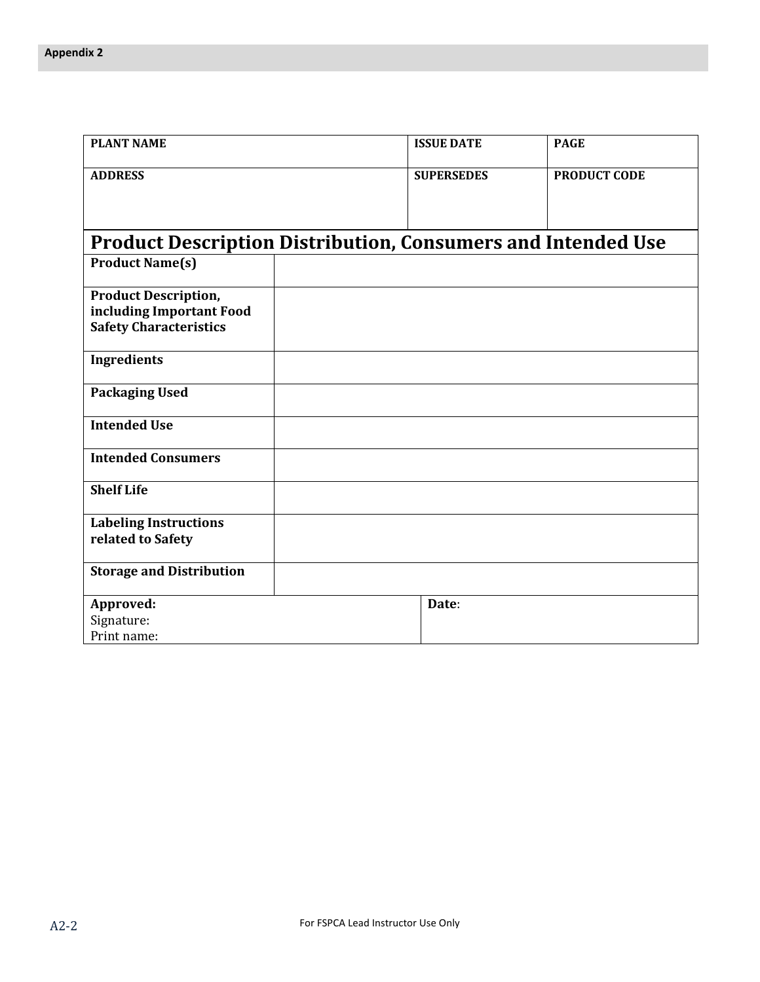| <b>PLANT NAME</b>                                                   | <b>ISSUE DATE</b> | <b>PAGE</b>         |
|---------------------------------------------------------------------|-------------------|---------------------|
| <b>ADDRESS</b>                                                      | <b>SUPERSEDES</b> | <b>PRODUCT CODE</b> |
|                                                                     |                   |                     |
|                                                                     |                   |                     |
| <b>Product Description Distribution, Consumers and Intended Use</b> |                   |                     |
| <b>Product Name(s)</b>                                              |                   |                     |
| <b>Product Description,</b>                                         |                   |                     |
| including Important Food                                            |                   |                     |
| <b>Safety Characteristics</b>                                       |                   |                     |
| <b>Ingredients</b>                                                  |                   |                     |
| <b>Packaging Used</b>                                               |                   |                     |
| <b>Intended Use</b>                                                 |                   |                     |
| <b>Intended Consumers</b>                                           |                   |                     |
| <b>Shelf Life</b>                                                   |                   |                     |
| <b>Labeling Instructions</b>                                        |                   |                     |
| related to Safety                                                   |                   |                     |
| <b>Storage and Distribution</b>                                     |                   |                     |
| Approved:                                                           | Date:             |                     |
| Signature:                                                          |                   |                     |
| Print name:                                                         |                   |                     |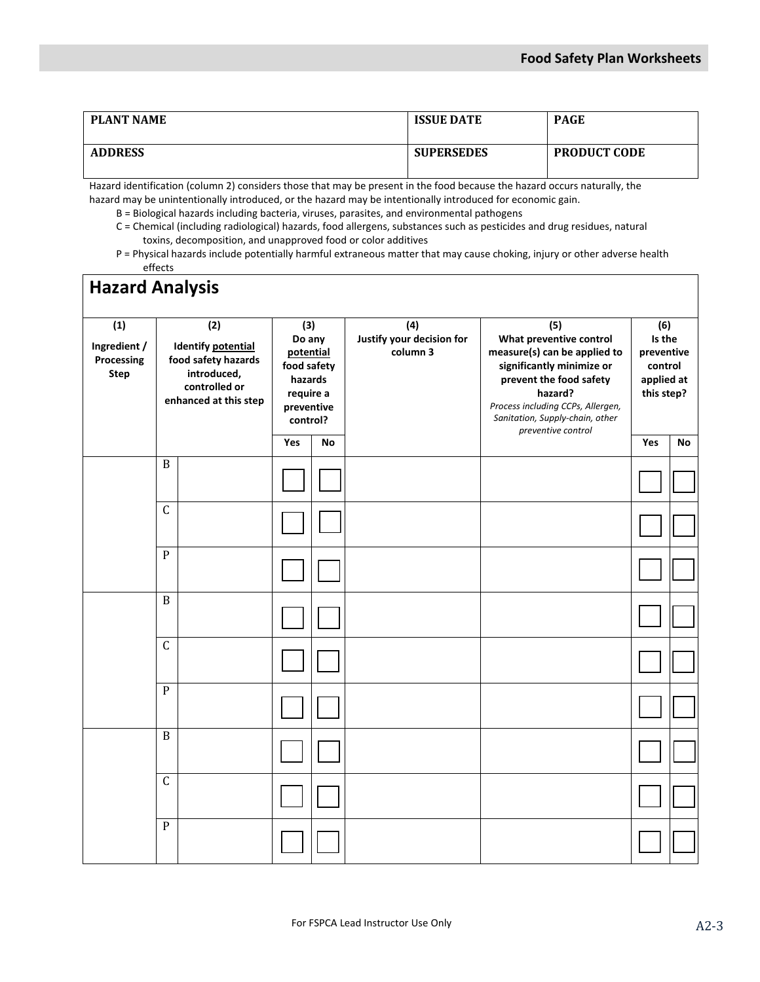| <b>PLANT NAME</b> | <b>ISSUE DATE</b> | <b>PAGE</b>         |
|-------------------|-------------------|---------------------|
| <b>ADDRESS</b>    | <b>SUPERSEDES</b> | <b>PRODUCT CODE</b> |

Hazard identification (column 2) considers those that may be present in the food because the hazard occurs naturally, the hazard may be unintentionally introduced, or the hazard may be intentionally introduced for economic gain.

B = Biological hazards including bacteria, viruses, parasites, and environmental pathogens

- C = Chemical (including radiological) hazards, food allergens, substances such as pesticides and drug residues, natural toxins, decomposition, and unapproved food or color additives
- P = Physical hazards include potentially harmful extraneous matter that may cause choking, injury or other adverse health effects

| <b>Hazard Analysis</b>                                      |                |                                                                                                                  |                                                                                             |    |  |  |     |    |  |  |                                                           |                                                                                                                                                                                                                                 |                                                                    |  |
|-------------------------------------------------------------|----------------|------------------------------------------------------------------------------------------------------------------|---------------------------------------------------------------------------------------------|----|--|--|-----|----|--|--|-----------------------------------------------------------|---------------------------------------------------------------------------------------------------------------------------------------------------------------------------------------------------------------------------------|--------------------------------------------------------------------|--|
| $\overline{1}$<br>Ingredient /<br>Processing<br><b>Step</b> |                | (2)<br><b>Identify potential</b><br>food safety hazards<br>introduced,<br>controlled or<br>enhanced at this step | (3)<br>Do any<br>potential<br>food safety<br>hazards<br>require a<br>preventive<br>control? |    |  |  |     |    |  |  | $\overline{(4)}$<br>Justify your decision for<br>column 3 | (5)<br>What preventive control<br>measure(s) can be applied to<br>significantly minimize or<br>prevent the food safety<br>hazard?<br>Process including CCPs, Allergen,<br>Sanitation, Supply-chain, other<br>preventive control | (6)<br>Is the<br>preventive<br>control<br>applied at<br>this step? |  |
|                                                             |                |                                                                                                                  | Yes                                                                                         | No |  |  | Yes | No |  |  |                                                           |                                                                                                                                                                                                                                 |                                                                    |  |
|                                                             | $\, {\bf B}$   |                                                                                                                  |                                                                                             |    |  |  |     |    |  |  |                                                           |                                                                                                                                                                                                                                 |                                                                    |  |
|                                                             | $\mathsf C$    |                                                                                                                  |                                                                                             |    |  |  |     |    |  |  |                                                           |                                                                                                                                                                                                                                 |                                                                    |  |
|                                                             | $\mathbf{P}$   |                                                                                                                  |                                                                                             |    |  |  |     |    |  |  |                                                           |                                                                                                                                                                                                                                 |                                                                    |  |
|                                                             | $\, {\bf B}$   |                                                                                                                  |                                                                                             |    |  |  |     |    |  |  |                                                           |                                                                                                                                                                                                                                 |                                                                    |  |
|                                                             | $\mathsf C$    |                                                                                                                  |                                                                                             |    |  |  |     |    |  |  |                                                           |                                                                                                                                                                                                                                 |                                                                    |  |
|                                                             | $\mathbf{P}$   |                                                                                                                  |                                                                                             |    |  |  |     |    |  |  |                                                           |                                                                                                                                                                                                                                 |                                                                    |  |
|                                                             | $\overline{B}$ |                                                                                                                  |                                                                                             |    |  |  |     |    |  |  |                                                           |                                                                                                                                                                                                                                 |                                                                    |  |
|                                                             | $\mathsf C$    |                                                                                                                  |                                                                                             |    |  |  |     |    |  |  |                                                           |                                                                                                                                                                                                                                 |                                                                    |  |
|                                                             | $\, {\bf P}$   |                                                                                                                  |                                                                                             |    |  |  |     |    |  |  |                                                           |                                                                                                                                                                                                                                 |                                                                    |  |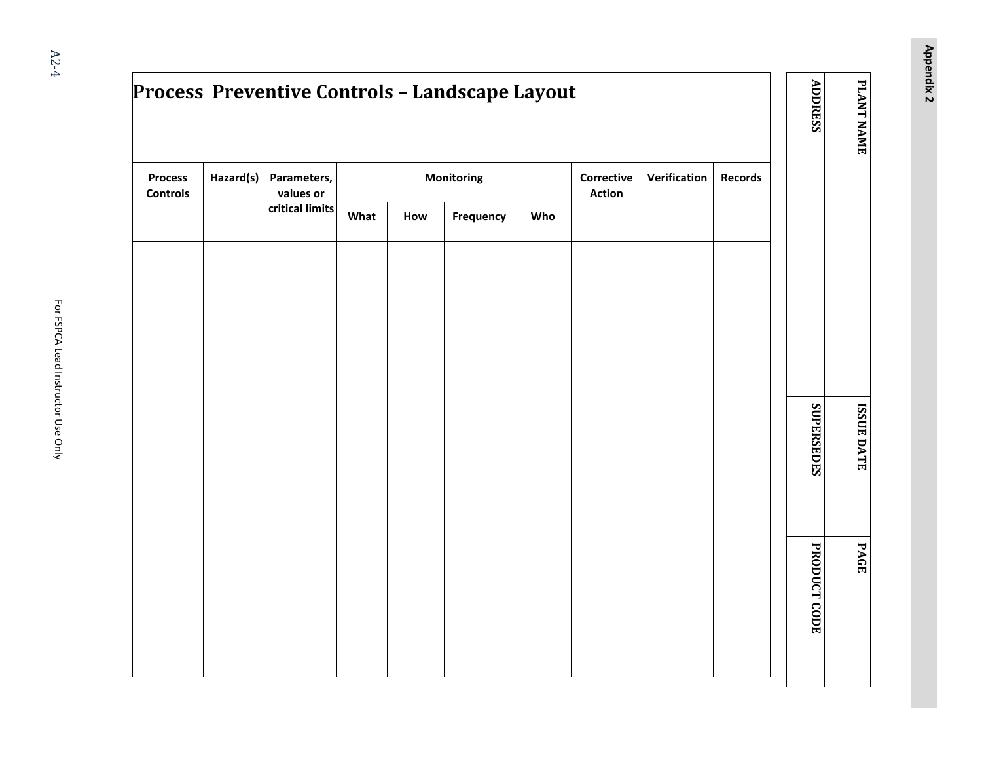**Appendix 2**

|                                   |           | Process Preventive Controls - Landscape Layout |      |     |                   |     |                                    |                     |                | <b>ADDRESS</b>      | PLANT NAME        |
|-----------------------------------|-----------|------------------------------------------------|------|-----|-------------------|-----|------------------------------------|---------------------|----------------|---------------------|-------------------|
| <b>Process</b><br><b>Controls</b> | Hazard(s) | Parameters,<br>values or                       |      |     | <b>Monitoring</b> |     | <b>Corrective</b><br><b>Action</b> | <b>Verification</b> | <b>Records</b> |                     |                   |
|                                   |           | critical limits                                | What | How | Frequency         | Who |                                    |                     |                |                     |                   |
|                                   |           |                                                |      |     |                   |     |                                    |                     |                |                     |                   |
|                                   |           |                                                |      |     |                   |     |                                    |                     |                |                     |                   |
|                                   |           |                                                |      |     |                   |     |                                    |                     |                |                     |                   |
|                                   |           |                                                |      |     |                   |     |                                    |                     |                |                     |                   |
|                                   |           |                                                |      |     |                   |     |                                    |                     |                | SUPERSEDES          | <b>ISSUE DATE</b> |
|                                   |           |                                                |      |     |                   |     |                                    |                     |                |                     |                   |
|                                   |           |                                                |      |     |                   |     |                                    |                     |                |                     |                   |
|                                   |           |                                                |      |     |                   |     |                                    |                     |                |                     | PAGE              |
|                                   |           |                                                |      |     |                   |     |                                    |                     |                | <b>PRODUCT CODE</b> |                   |
|                                   |           |                                                |      |     |                   |     |                                    |                     |                |                     |                   |
|                                   |           |                                                |      |     |                   |     |                                    |                     |                |                     |                   |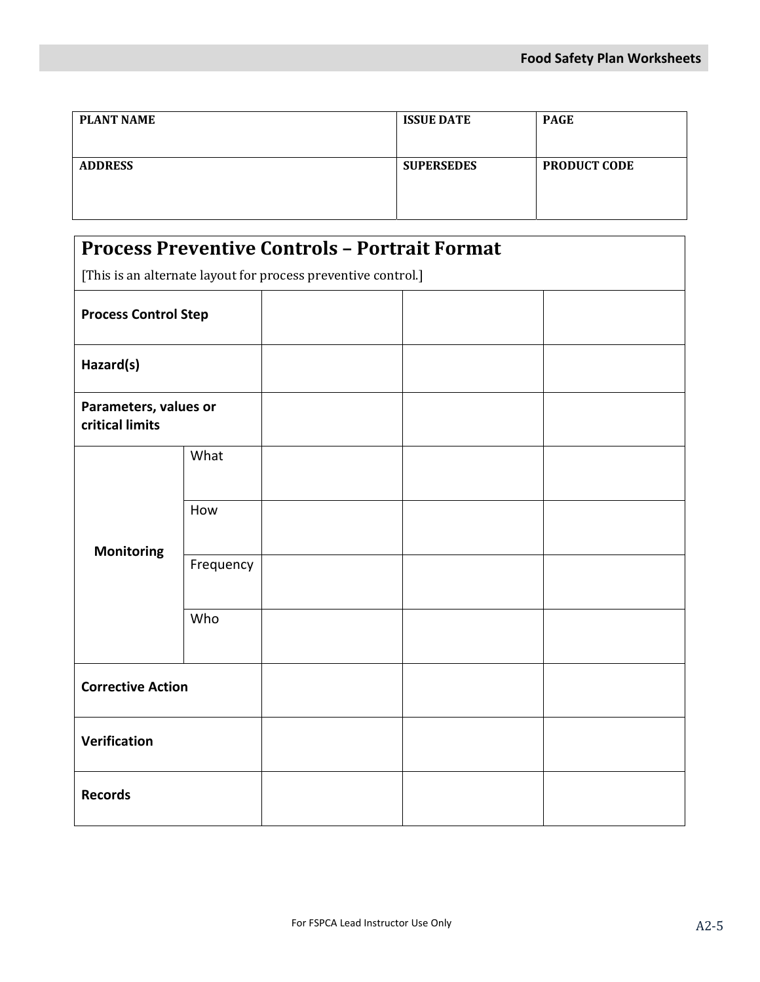| <b>PLANT NAME</b> | <b>ISSUE DATE</b> | <b>PAGE</b>         |  |  |  |
|-------------------|-------------------|---------------------|--|--|--|
| <b>ADDRESS</b>    | <b>SUPERSEDES</b> | <b>PRODUCT CODE</b> |  |  |  |
|                   |                   |                     |  |  |  |

|                                          |           | <b>Process Preventive Controls - Portrait Format</b>          |  |
|------------------------------------------|-----------|---------------------------------------------------------------|--|
|                                          |           | [This is an alternate layout for process preventive control.] |  |
| <b>Process Control Step</b>              |           |                                                               |  |
| Hazard(s)                                |           |                                                               |  |
| Parameters, values or<br>critical limits |           |                                                               |  |
|                                          | What      |                                                               |  |
|                                          | How       |                                                               |  |
| <b>Monitoring</b>                        | Frequency |                                                               |  |
|                                          | Who       |                                                               |  |
| <b>Corrective Action</b>                 |           |                                                               |  |
| Verification                             |           |                                                               |  |
| <b>Records</b>                           |           |                                                               |  |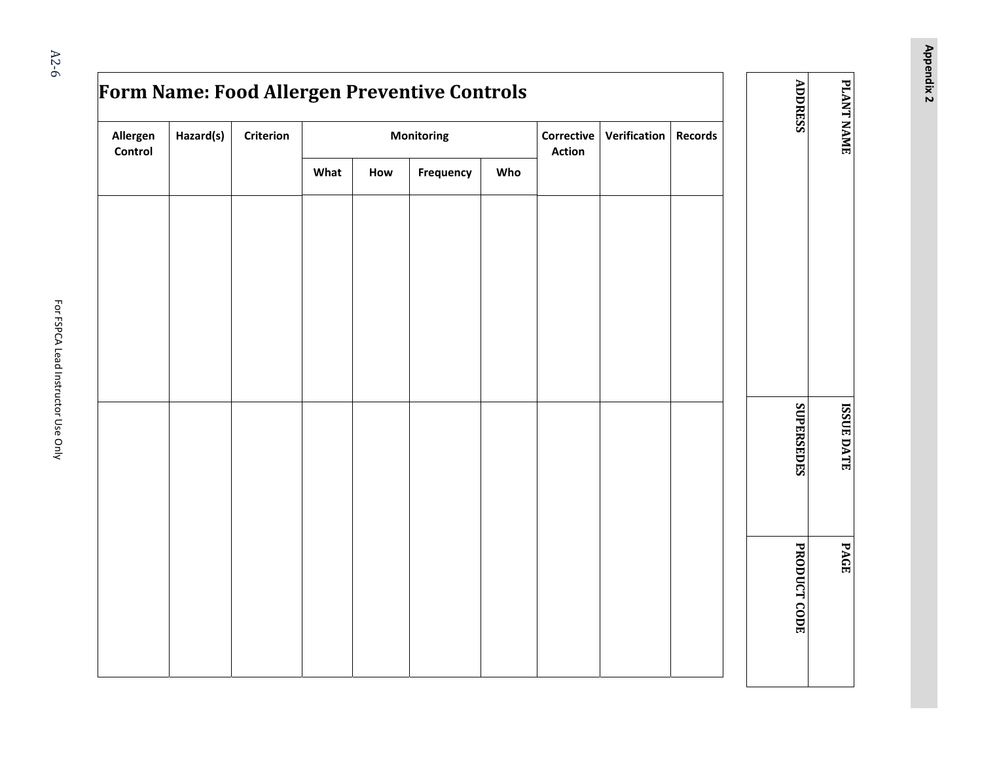**Appendix 2**

|                     |           |           |      |            | Form Name: Food Allergen Preventive Controls |     |                                                    |  |                | <b>ADDRESS</b>      | PLANT NAME        |
|---------------------|-----------|-----------|------|------------|----------------------------------------------|-----|----------------------------------------------------|--|----------------|---------------------|-------------------|
| Allergen<br>Control | Hazard(s) | Criterion |      | Monitoring |                                              |     | Verification<br><b>Corrective</b><br><b>Action</b> |  | <b>Records</b> |                     |                   |
|                     |           |           | What | How        | Frequency                                    | Who |                                                    |  |                |                     |                   |
|                     |           |           |      |            |                                              |     |                                                    |  |                |                     |                   |
|                     |           |           |      |            |                                              |     |                                                    |  |                |                     |                   |
|                     |           |           |      |            |                                              |     |                                                    |  |                |                     |                   |
|                     |           |           |      |            |                                              |     |                                                    |  |                |                     |                   |
|                     |           |           |      |            |                                              |     |                                                    |  |                |                     |                   |
|                     |           |           |      |            |                                              |     |                                                    |  |                |                     |                   |
|                     |           |           |      |            |                                              |     |                                                    |  |                | SUPERSEDES          | <b>ISSUE DATE</b> |
|                     |           |           |      |            |                                              |     |                                                    |  |                |                     |                   |
|                     |           |           |      |            |                                              |     |                                                    |  |                |                     |                   |
|                     |           |           |      |            |                                              |     |                                                    |  |                |                     | PAGE              |
|                     |           |           |      |            |                                              |     |                                                    |  |                | <b>PRODUCT CODE</b> |                   |
|                     |           |           |      |            |                                              |     |                                                    |  |                |                     |                   |
|                     |           |           |      |            |                                              |     |                                                    |  |                |                     |                   |
|                     |           |           |      |            |                                              |     |                                                    |  |                |                     |                   |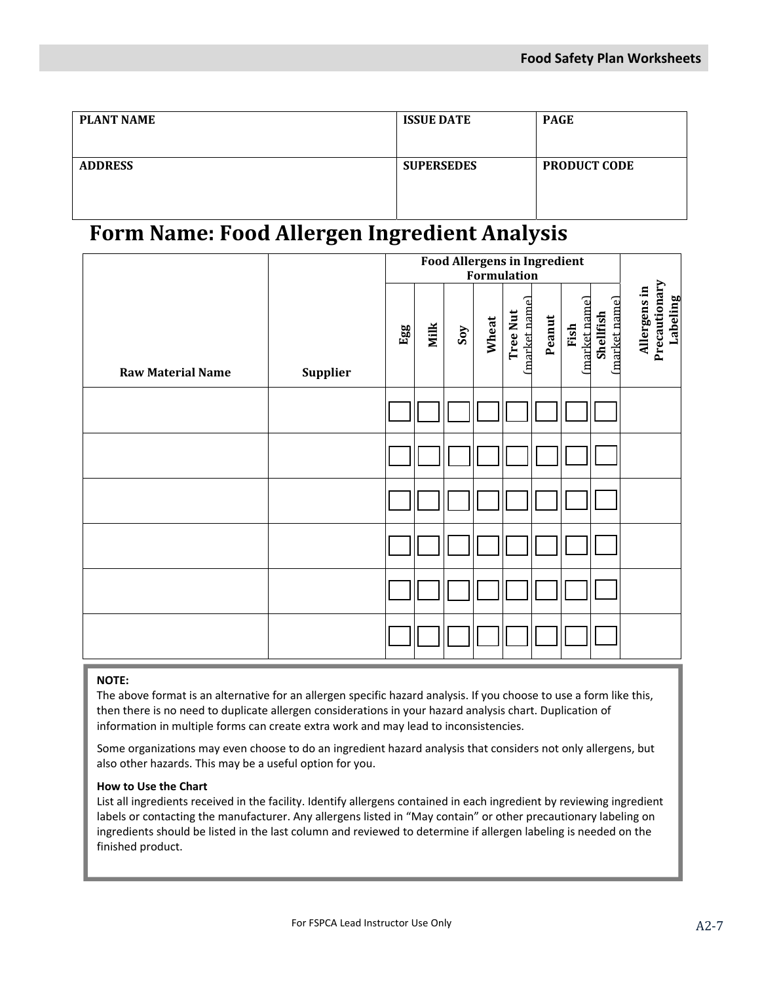| <b>PLANT NAME</b> | <b>ISSUE DATE</b> | <b>PAGE</b>         |
|-------------------|-------------------|---------------------|
| <b>ADDRESS</b>    | <b>SUPERSEDES</b> | <b>PRODUCT CODE</b> |

### **Form Name: Food Allergen Ingredient Analysis**

|                          |          |     | <b>Food Allergens in Ingredient</b><br>Formulation |     |       |                                  |        |                      |                           |                                           |
|--------------------------|----------|-----|----------------------------------------------------|-----|-------|----------------------------------|--------|----------------------|---------------------------|-------------------------------------------|
| <b>Raw Material Name</b> | Supplier | Egg | Milk                                               | Sov | Wheat | (market name)<br><b>Tree Nut</b> | Peanut | market name)<br>Fish | market name)<br>Shellfish | Precautionary<br>Allergens in<br>Labeling |
|                          |          |     |                                                    |     |       |                                  |        |                      |                           |                                           |
|                          |          |     |                                                    |     |       |                                  |        |                      |                           |                                           |
|                          |          |     |                                                    |     |       |                                  |        |                      |                           |                                           |
|                          |          |     |                                                    |     |       |                                  |        |                      |                           |                                           |
|                          |          |     |                                                    |     |       |                                  |        |                      |                           |                                           |
|                          |          |     |                                                    |     |       |                                  |        |                      |                           |                                           |

#### **NOTE:**

 The above format is an alternative for an allergen specific hazard analysis. If you choose to use a form like this, then there is no need to duplicate allergen considerations in your hazard analysis chart. Duplication of information in multiple forms can create extra work and may lead to inconsistencies.

Some organizations may even choose to do an ingredient hazard analysis that considers not only allergens, but also other hazards. This may be a useful option for you.

### **How to Use the Chart**

List all ingredients received in the facility. Identify allergens contained in each ingredient by reviewing ingredient labels or contacting the manufacturer. Any allergens listed in "May contain" or other precautionary labeling on ingredients should be listed in the last column and reviewed to determine if allergen labeling is needed on the finished product.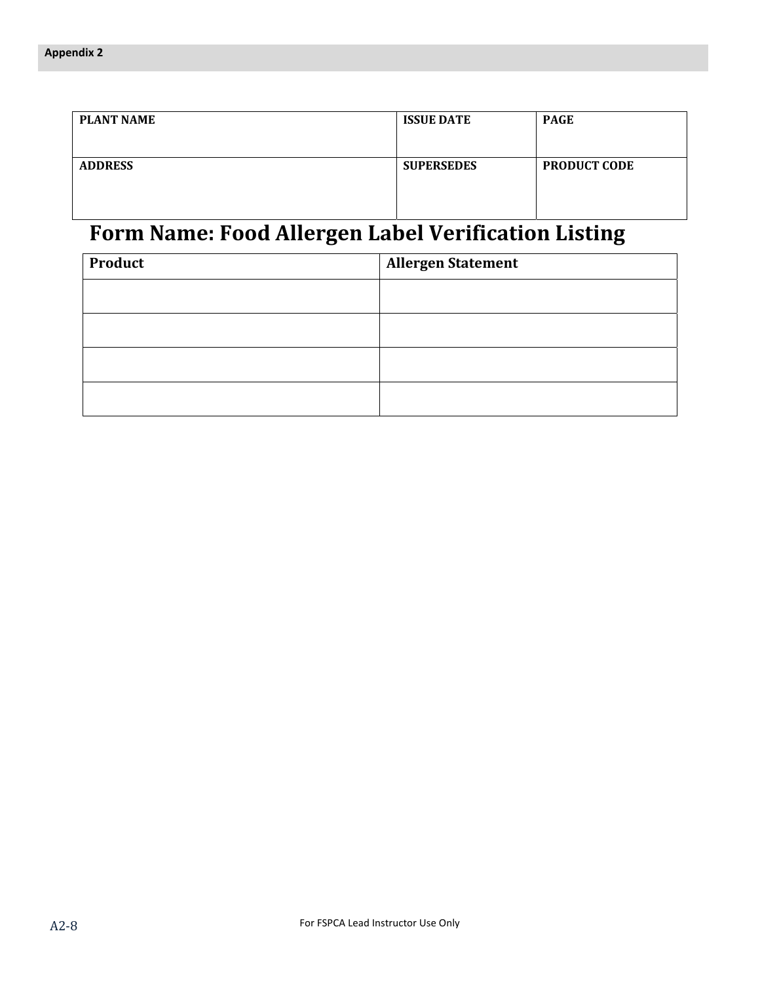| <b>PLANT NAME</b> | <b>ISSUE DATE</b> | <b>PAGE</b>         |  |  |
|-------------------|-------------------|---------------------|--|--|
| <b>ADDRESS</b>    | <b>SUPERSEDES</b> | <b>PRODUCT CODE</b> |  |  |

## **Form Name: Food Allergen Label Verification Listing**

| <b>Product</b> | <b>Allergen Statement</b> |  |  |  |  |
|----------------|---------------------------|--|--|--|--|
|                |                           |  |  |  |  |
|                |                           |  |  |  |  |
|                |                           |  |  |  |  |
|                |                           |  |  |  |  |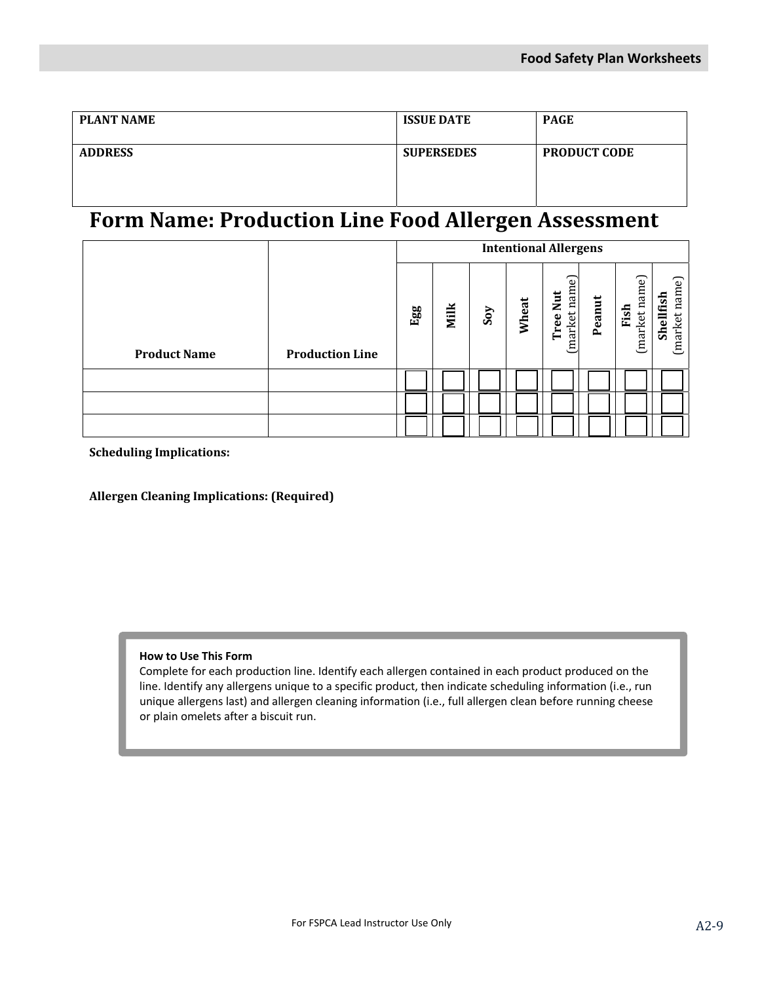| <b>PLANT NAME</b> | <b>ISSUE DATE</b> | <b>PAGE</b>         |
|-------------------|-------------------|---------------------|
| <b>ADDRESS</b>    | <b>SUPERSEDES</b> | <b>PRODUCT CODE</b> |

### **Form Name: Production Line Food Allergen Assessment**

|                     |                        | <b>Intentional Allergens</b> |      |     |       |                                                          |        |                      |                            |
|---------------------|------------------------|------------------------------|------|-----|-------|----------------------------------------------------------|--------|----------------------|----------------------------|
| <b>Product Name</b> | <b>Production Line</b> | Egg                          | Milk | Soy | Wheat | $\overline{\textbf{c}}$<br>market nam<br><b>Tree Nut</b> | Peanut | market name)<br>Fish | (market name)<br>Shellfish |
|                     |                        |                              |      |     |       |                                                          |        |                      |                            |
|                     |                        |                              |      |     |       |                                                          |        |                      |                            |
|                     |                        |                              |      |     |       |                                                          |        |                      |                            |

**Scheduling Implications:**

**Allergen Cleaning Implications: (Required)**

#### **How to Use This Form**

Complete for each production line. Identify each allergen contained in each product produced on the line. Identify any allergens unique to a specific product, then indicate scheduling information (i.e., run unique allergens last) and allergen cleaning information (i.e., full allergen clean before running cheese or plain omelets after a biscuit run.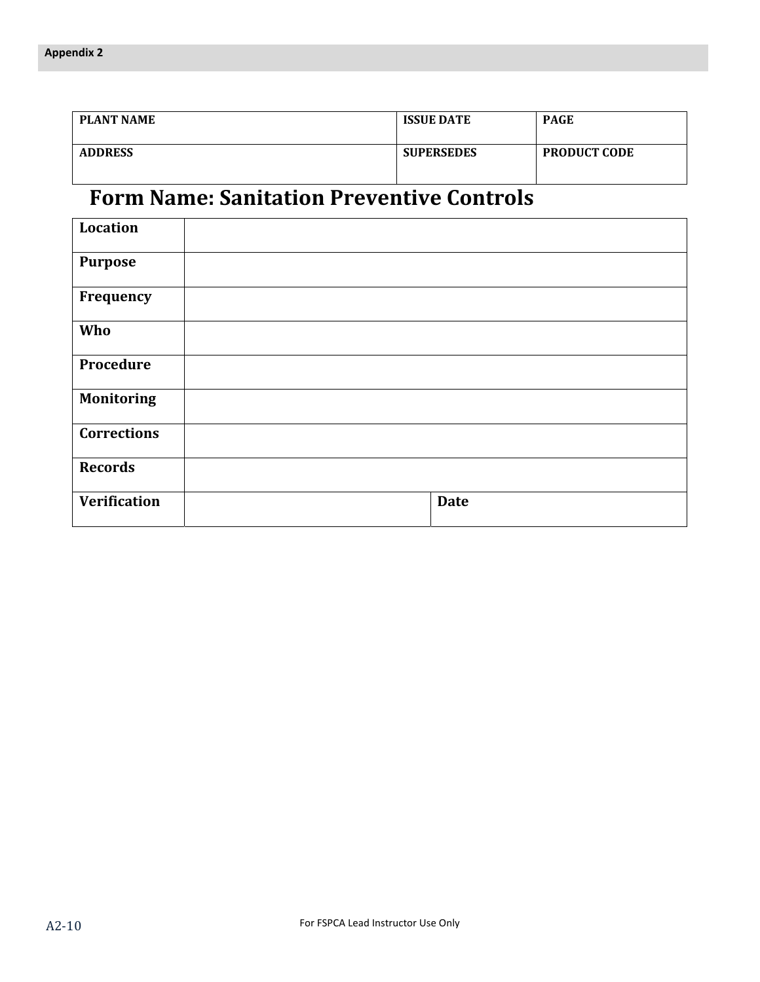| <b>PLANT NAME</b> | <b>ISSUE DATE</b> | <b>PAGE</b>         |
|-------------------|-------------------|---------------------|
| <b>ADDRESS</b>    | <b>SUPERSEDES</b> | <b>PRODUCT CODE</b> |

## **Form Name: Sanitation Preventive Controls**

| <b>Location</b>     |             |
|---------------------|-------------|
| <b>Purpose</b>      |             |
| Frequency           |             |
| Who                 |             |
| Procedure           |             |
| <b>Monitoring</b>   |             |
| <b>Corrections</b>  |             |
| <b>Records</b>      |             |
| <b>Verification</b> | <b>Date</b> |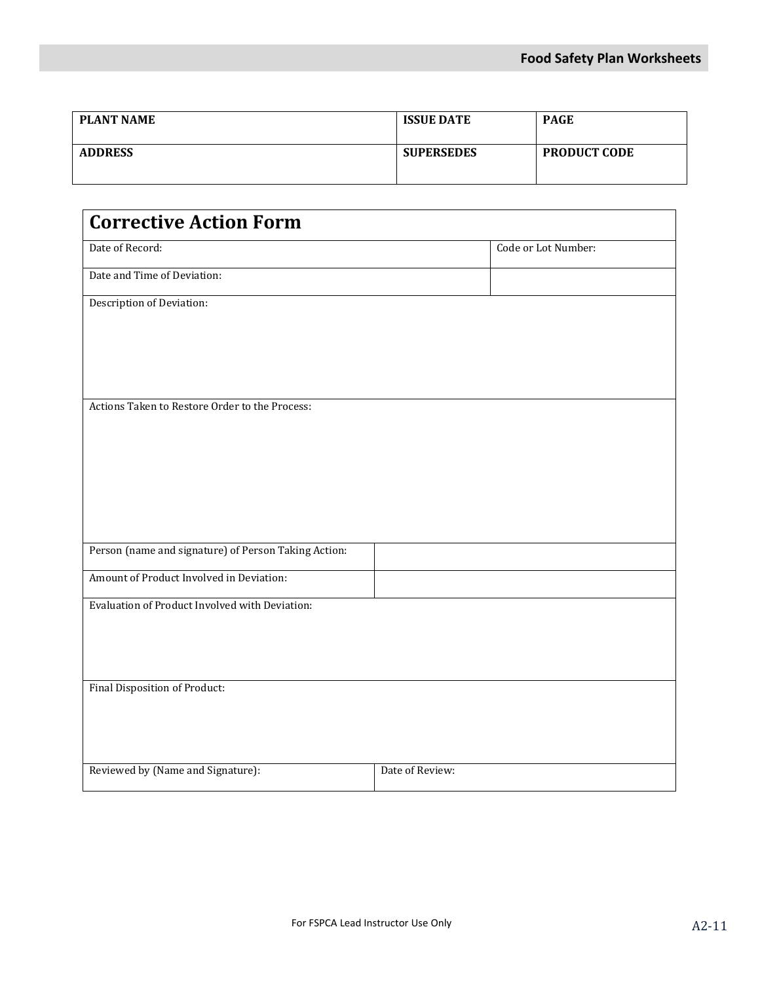| <b>PLANT NAME</b> | <b>ISSUE DATE</b> | <b>PAGE</b>         |
|-------------------|-------------------|---------------------|
| <b>ADDRESS</b>    | <b>SUPERSEDES</b> | <b>PRODUCT CODE</b> |

| <b>Corrective Action Form</b>                        |                     |
|------------------------------------------------------|---------------------|
| Date of Record:                                      | Code or Lot Number: |
| Date and Time of Deviation:                          |                     |
| Description of Deviation:                            |                     |
|                                                      |                     |
|                                                      |                     |
|                                                      |                     |
| Actions Taken to Restore Order to the Process:       |                     |
|                                                      |                     |
|                                                      |                     |
|                                                      |                     |
|                                                      |                     |
| Person (name and signature) of Person Taking Action: |                     |
| Amount of Product Involved in Deviation:             |                     |
| Evaluation of Product Involved with Deviation:       |                     |
|                                                      |                     |
|                                                      |                     |
| Final Disposition of Product:                        |                     |
|                                                      |                     |
|                                                      |                     |
| Reviewed by (Name and Signature):                    | Date of Review:     |